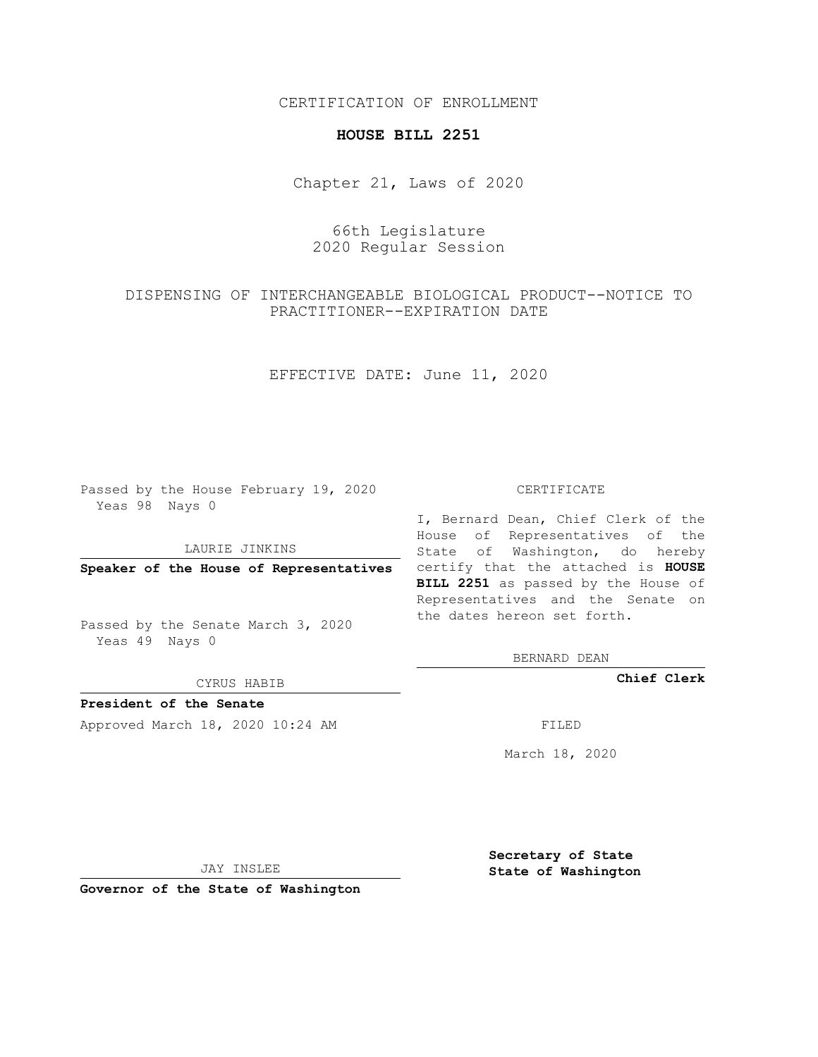CERTIFICATION OF ENROLLMENT

### **HOUSE BILL 2251**

Chapter 21, Laws of 2020

# 66th Legislature 2020 Regular Session

# DISPENSING OF INTERCHANGEABLE BIOLOGICAL PRODUCT--NOTICE TO PRACTITIONER--EXPIRATION DATE

EFFECTIVE DATE: June 11, 2020

Passed by the House February 19, 2020 Yeas 98 Nays 0

#### LAURIE JINKINS

Passed by the Senate March 3, 2020 Yeas 49 Nays 0

CYRUS HABIB

**President of the Senate**

Approved March 18, 2020 10:24 AM FILED

### CERTIFICATE

**Speaker of the House of Representatives** certify that the attached is **HOUSE** I, Bernard Dean, Chief Clerk of the House of Representatives of the State of Washington, do hereby **BILL 2251** as passed by the House of Representatives and the Senate on the dates hereon set forth.

BERNARD DEAN

**Chief Clerk**

March 18, 2020

JAY INSLEE

**Governor of the State of Washington**

**Secretary of State State of Washington**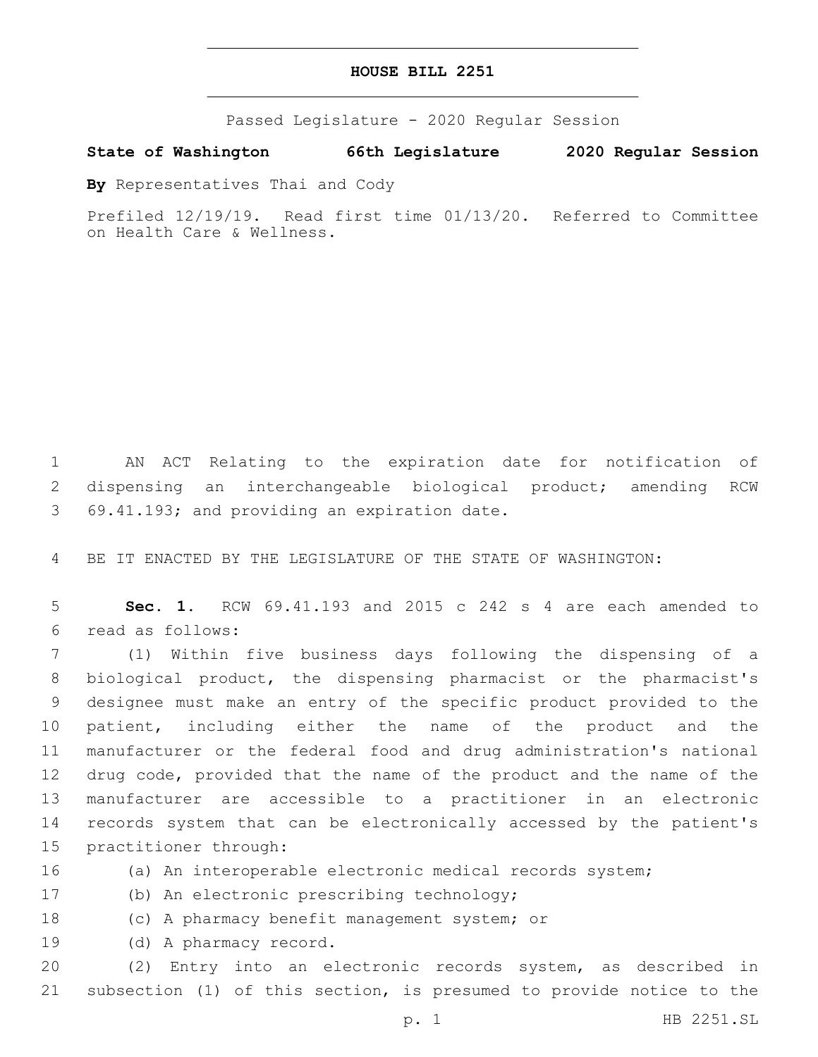## **HOUSE BILL 2251**

Passed Legislature - 2020 Regular Session

**State of Washington 66th Legislature 2020 Regular Session**

**By** Representatives Thai and Cody

Prefiled 12/19/19. Read first time 01/13/20. Referred to Committee on Health Care & Wellness.

1 AN ACT Relating to the expiration date for notification of 2 dispensing an interchangeable biological product; amending RCW 3 69.41.193; and providing an expiration date.

4 BE IT ENACTED BY THE LEGISLATURE OF THE STATE OF WASHINGTON:

5 **Sec. 1.** RCW 69.41.193 and 2015 c 242 s 4 are each amended to read as follows:6

 (1) Within five business days following the dispensing of a biological product, the dispensing pharmacist or the pharmacist's designee must make an entry of the specific product provided to the patient, including either the name of the product and the manufacturer or the federal food and drug administration's national drug code, provided that the name of the product and the name of the manufacturer are accessible to a practitioner in an electronic records system that can be electronically accessed by the patient's 15 practitioner through:

16 (a) An interoperable electronic medical records system;

17 (b) An electronic prescribing technology;

- 18 (c) A pharmacy benefit management system; or
- 19 (d) A pharmacy record.

20 (2) Entry into an electronic records system, as described in 21 subsection (1) of this section, is presumed to provide notice to the